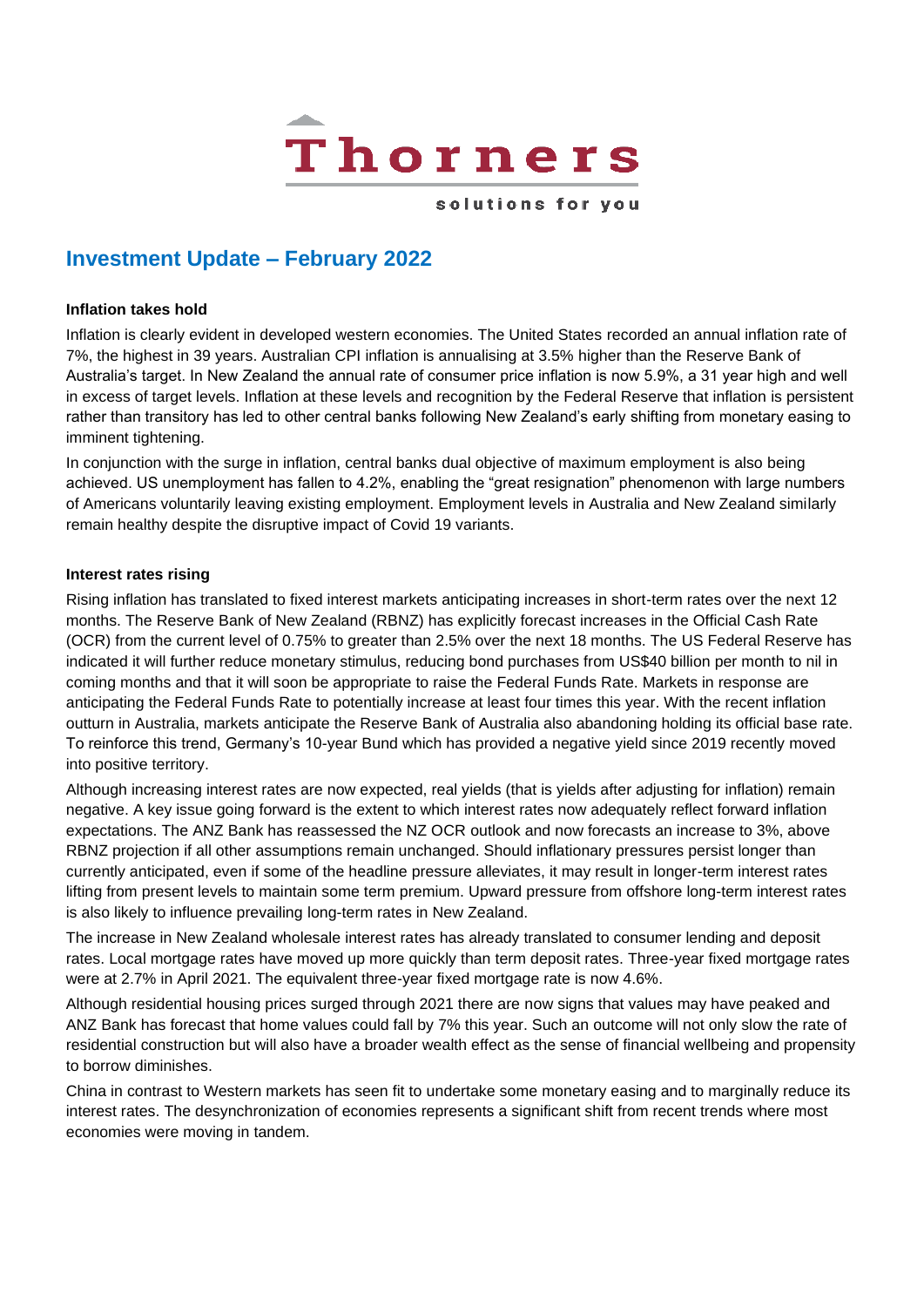

solutions for you

# **Investment Update – February 2022**

#### **Inflation takes hold**

Inflation is clearly evident in developed western economies. The United States recorded an annual inflation rate of 7%, the highest in 39 years. Australian CPI inflation is annualising at 3.5% higher than the Reserve Bank of Australia's target. In New Zealand the annual rate of consumer price inflation is now 5.9%, a 31 year high and well in excess of target levels. Inflation at these levels and recognition by the Federal Reserve that inflation is persistent rather than transitory has led to other central banks following New Zealand's early shifting from monetary easing to imminent tightening.

In conjunction with the surge in inflation, central banks dual objective of maximum employment is also being achieved. US unemployment has fallen to 4.2%, enabling the "great resignation" phenomenon with large numbers of Americans voluntarily leaving existing employment. Employment levels in Australia and New Zealand similarly remain healthy despite the disruptive impact of Covid 19 variants.

# **Interest rates rising**

Rising inflation has translated to fixed interest markets anticipating increases in short-term rates over the next 12 months. The Reserve Bank of New Zealand (RBNZ) has explicitly forecast increases in the Official Cash Rate (OCR) from the current level of 0.75% to greater than 2.5% over the next 18 months. The US Federal Reserve has indicated it will further reduce monetary stimulus, reducing bond purchases from US\$40 billion per month to nil in coming months and that it will soon be appropriate to raise the Federal Funds Rate. Markets in response are anticipating the Federal Funds Rate to potentially increase at least four times this year. With the recent inflation outturn in Australia, markets anticipate the Reserve Bank of Australia also abandoning holding its official base rate. To reinforce this trend, Germany's 10-year Bund which has provided a negative yield since 2019 recently moved into positive territory.

Although increasing interest rates are now expected, real yields (that is yields after adjusting for inflation) remain negative. A key issue going forward is the extent to which interest rates now adequately reflect forward inflation expectations. The ANZ Bank has reassessed the NZ OCR outlook and now forecasts an increase to 3%, above RBNZ projection if all other assumptions remain unchanged. Should inflationary pressures persist longer than currently anticipated, even if some of the headline pressure alleviates, it may result in longer-term interest rates lifting from present levels to maintain some term premium. Upward pressure from offshore long-term interest rates is also likely to influence prevailing long-term rates in New Zealand.

The increase in New Zealand wholesale interest rates has already translated to consumer lending and deposit rates. Local mortgage rates have moved up more quickly than term deposit rates. Three-year fixed mortgage rates were at 2.7% in April 2021. The equivalent three-year fixed mortgage rate is now 4.6%.

Although residential housing prices surged through 2021 there are now signs that values may have peaked and ANZ Bank has forecast that home values could fall by 7% this year. Such an outcome will not only slow the rate of residential construction but will also have a broader wealth effect as the sense of financial wellbeing and propensity to borrow diminishes.

China in contrast to Western markets has seen fit to undertake some monetary easing and to marginally reduce its interest rates. The desynchronization of economies represents a significant shift from recent trends where most economies were moving in tandem.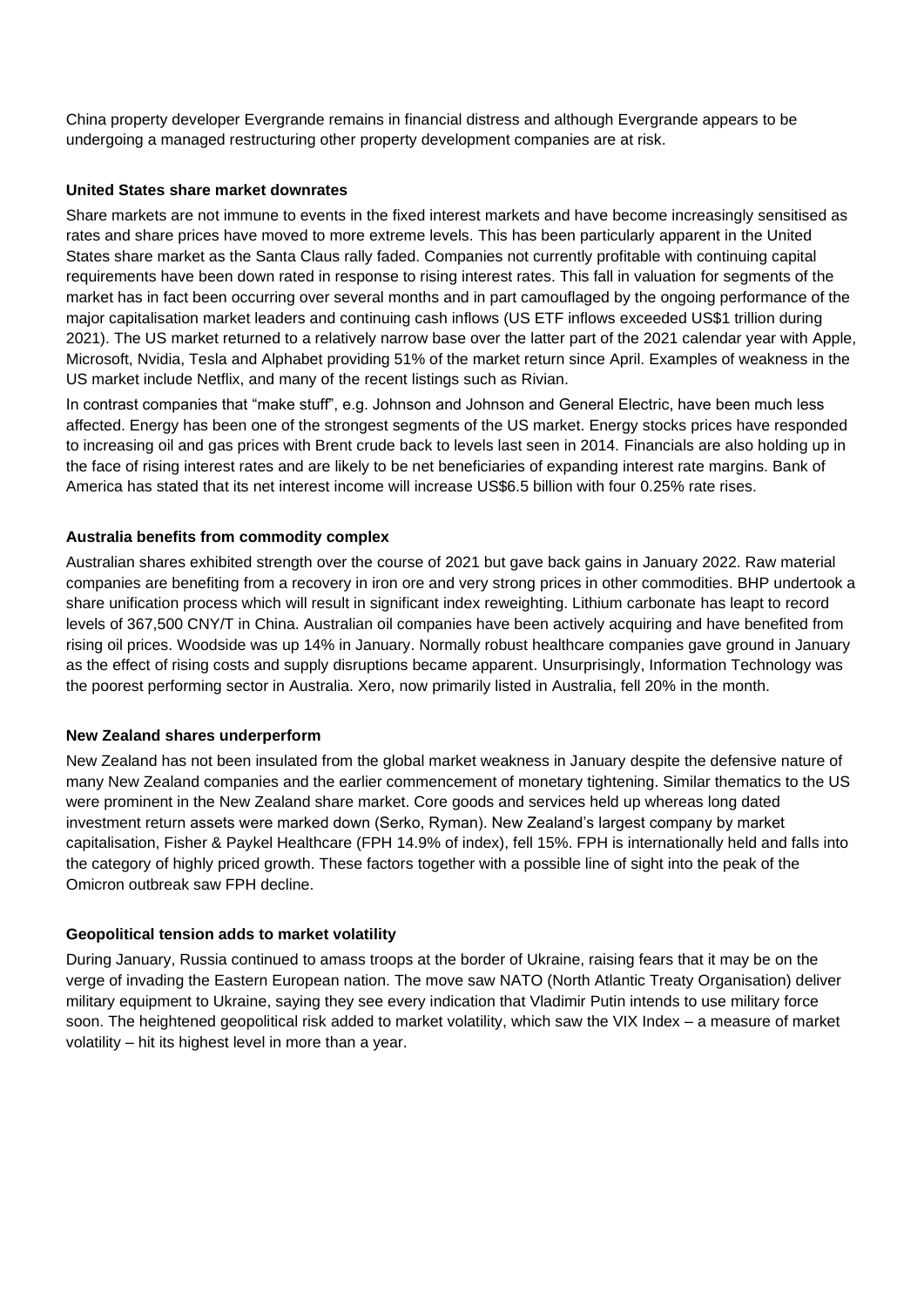China property developer Evergrande remains in financial distress and although Evergrande appears to be undergoing a managed restructuring other property development companies are at risk.

# **United States share market downrates**

Share markets are not immune to events in the fixed interest markets and have become increasingly sensitised as rates and share prices have moved to more extreme levels. This has been particularly apparent in the United States share market as the Santa Claus rally faded. Companies not currently profitable with continuing capital requirements have been down rated in response to rising interest rates. This fall in valuation for segments of the market has in fact been occurring over several months and in part camouflaged by the ongoing performance of the major capitalisation market leaders and continuing cash inflows (US ETF inflows exceeded US\$1 trillion during 2021). The US market returned to a relatively narrow base over the latter part of the 2021 calendar year with Apple, Microsoft, Nvidia, Tesla and Alphabet providing 51% of the market return since April. Examples of weakness in the US market include Netflix, and many of the recent listings such as Rivian.

In contrast companies that "make stuff", e.g. Johnson and Johnson and General Electric, have been much less affected. Energy has been one of the strongest segments of the US market. Energy stocks prices have responded to increasing oil and gas prices with Brent crude back to levels last seen in 2014. Financials are also holding up in the face of rising interest rates and are likely to be net beneficiaries of expanding interest rate margins. Bank of America has stated that its net interest income will increase US\$6.5 billion with four 0.25% rate rises.

# **Australia benefits from commodity complex**

Australian shares exhibited strength over the course of 2021 but gave back gains in January 2022. Raw material companies are benefiting from a recovery in iron ore and very strong prices in other commodities. BHP undertook a share unification process which will result in significant index reweighting. Lithium carbonate has leapt to record levels of 367,500 CNY/T in China. Australian oil companies have been actively acquiring and have benefited from rising oil prices. Woodside was up 14% in January. Normally robust healthcare companies gave ground in January as the effect of rising costs and supply disruptions became apparent. Unsurprisingly, Information Technology was the poorest performing sector in Australia. Xero, now primarily listed in Australia, fell 20% in the month.

# **New Zealand shares underperform**

New Zealand has not been insulated from the global market weakness in January despite the defensive nature of many New Zealand companies and the earlier commencement of monetary tightening. Similar thematics to the US were prominent in the New Zealand share market. Core goods and services held up whereas long dated investment return assets were marked down (Serko, Ryman). New Zealand's largest company by market capitalisation, Fisher & Paykel Healthcare (FPH 14.9% of index), fell 15%. FPH is internationally held and falls into the category of highly priced growth. These factors together with a possible line of sight into the peak of the Omicron outbreak saw FPH decline.

# **Geopolitical tension adds to market volatility**

During January, Russia continued to amass troops at the border of Ukraine, raising fears that it may be on the verge of invading the Eastern European nation. The move saw NATO (North Atlantic Treaty Organisation) deliver military equipment to Ukraine, saying they see every indication that Vladimir Putin intends to use military force soon. The heightened geopolitical risk added to market volatility, which saw the VIX Index – a measure of market volatility – hit its highest level in more than a year.